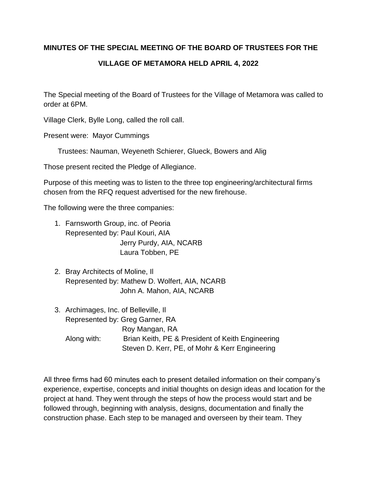## **MINUTES OF THE SPECIAL MEETING OF THE BOARD OF TRUSTEES FOR THE**

## **VILLAGE OF METAMORA HELD APRIL 4, 2022**

The Special meeting of the Board of Trustees for the Village of Metamora was called to order at 6PM.

Village Clerk, Bylle Long, called the roll call.

Present were: Mayor Cummings

Trustees: Nauman, Weyeneth Schierer, Glueck, Bowers and Alig

Those present recited the Pledge of Allegiance.

Purpose of this meeting was to listen to the three top engineering/architectural firms chosen from the RFQ request advertised for the new firehouse.

The following were the three companies:

- 1. Farnsworth Group, inc. of Peoria Represented by: Paul Kouri, AIA Jerry Purdy, AIA, NCARB Laura Tobben, PE
- 2. Bray Architects of Moline, Il Represented by: Mathew D. Wolfert, AIA, NCARB John A. Mahon, AIA, NCARB
- 3. Archimages, Inc. of Belleville, Il Represented by: Greg Garner, RA Roy Mangan, RA Along with: Brian Keith, PE & President of Keith Engineering Steven D. Kerr, PE, of Mohr & Kerr Engineering

All three firms had 60 minutes each to present detailed information on their company's experience, expertise, concepts and initial thoughts on design ideas and location for the project at hand. They went through the steps of how the process would start and be followed through, beginning with analysis, designs, documentation and finally the construction phase. Each step to be managed and overseen by their team. They